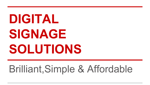# **DIGITAL SIGNAGE SOLUTIONS**

# Brilliant,Simple & Affordable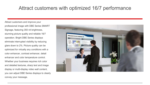### Attract customers with optimized 16/7 performance

Attract customers and improve your professional image with DBE Series SMART Signage, featuring 350 nit brightness, stunning picture quality and reliable 16/7 operation. Bright DBE Series displays eliminate interrupted visibility by reducing glare down to 2%. Picture quality can be optimized for virtually any conditions with a color enhancer, contrast enhancer, detail enhancer and color temperature control. Whether your business requires rich color and detailed textures, sharp text and image display or multi-display video wall content, you can adjust DBE Series displays to clearly convey your message.

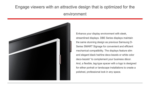### Engage viewers with an attractive design that is optimized for the environment



Enhance your display environment with sleek, streamlined displays. DBE Series displays maintain the same stunning design as previous Samsung D-Series SMART Signage for convenient and efficient mechanical compatibility. The displays feature slim and elegant black hairline deco-bezels or white color deco-bezels\* to complement your business décor. And, a flexible, tag-type spacer with a logo is designed for either portrait or landscape installations to create a polished, professional look in any space.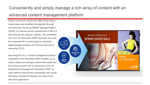## Conveniently and simply manage a rich array of content with an

#### advanced content management platform

Deliver myriad rich content with DBE Series built-in media player and simplified management through 3rd Generation Samsung SMART Signage Platform (SSSP). An internal memory upgrade from 4 GB to 8 GB enhances the displays' usability. The embedded, all-in-one 3rd Generation SSSP eliminates the need for a separate PC or media player to streamline digital signage operation and improve total cost of ownership (TCO).

New MagicInfo S3, a content management solution embedded in 3rd Generation SSSP enables you to create, deploy and manage content more easily than the previous version with an enhanced UI and UX. MagicInfo S3 leverages 3rd Generation SSSP, an open platform that provides compatibility with myriad third-party software for flexibility and ease of use with other applications.

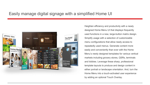#### Easily manage digital signage with a simplified Home UI



Heighten efficiency and productivity with a newly designed Home Menu UI that displays frequently used functions in a new, large-button matrix design. Simplify usage with a selection of customizable menu configurations that allow ready access to repeatedly used menus. Generate content more easily and conveniently than ever with the Home Menu's newly designed templates for various vertical markets including grocery stores, QSRs, terminals and lobbies. Leverage these sharp, professional template layouts to produce and design content in either portrait or landscape orientation. And, turn the Home Menu into a touch-activated user experience by adding an optional Touch Overlay.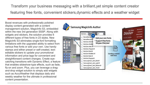Transform your business messaging with a brilliant,yet simple content creator featuring free fonts, convenient stickers,dynamic effects and a weather widget

Boost revenues with professionally polished display content generated with a content management solution, MagicInfo S3, embedded within the new 3rd generation SSSP. Along with widgets and stickers, the solution provides 6 different types of free fonts in 23 styles. New MagicInfo S3 eliminates single-font formatting limitations with the upgraded ability to select from various free fonts or add your own. Use handy stamps and either preset or self-created, texteditable stickers to update your promotional information and price tags for convenient and straightforward content changes. Create eyecatching transitions with Dynamic Effect, a feature that enables slideshow-type effects, such as fade, fly-on and zoom. Plus, you can leverage a dragand-drop widget solution to simply add widgets such as AccuWeather that displays daily and weekly weather for the ultimate in professional content presentation.

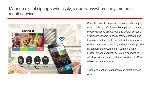#### Manage digital signage wirelessly, virtually anywhere, anytime on a mobile device



Simplify content control and enhance efficiency by using the MagicInfo S3 mobile application on your mobile device to create, edit and deploy content. Wirelessly connect to easily create content using templates, upload and play material from a mobile device, quickly edit content, and readily use playlist navigation to select and start content playing. Further extend connectivity using embedded Wi-Fi, which provides control and sharing with note PCs, tablets and smartphones.

\* Content creation is applicable on tablet devices only.